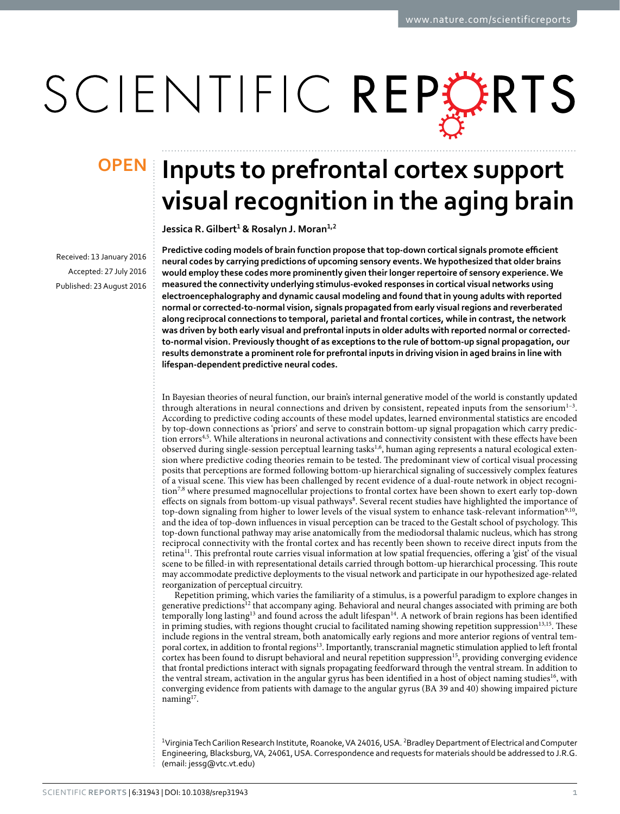# SCIENTIFIC REPERTS

Received: 13 January 2016 accepted: 27 July 2016 Published: 23 August 2016

## **Inputs to prefrontal cortex support OPENvisual recognition in the aging brain**

**Jessica R.Gilbert<sup>1</sup> & Rosalyn J. Moran<sup>1</sup>,<sup>2</sup>**

**Predictive coding models of brain function propose that top-down cortical signals promote efficient neural codes by carrying predictions of upcoming sensory events. We hypothesized that older brains would employ these codes more prominently given their longer repertoire of sensory experience. We measured the connectivity underlying stimulus-evoked responses in cortical visual networks using electroencephalography and dynamic causal modeling and found that in young adults with reported normal or corrected-to-normal vision, signals propagated from early visual regions and reverberated along reciprocal connections to temporal, parietal and frontal cortices, while in contrast, the network was driven by both early visual and prefrontal inputs in older adults with reported normal or correctedto-normal vision. Previously thought of as exceptions to the rule of bottom-up signal propagation, our results demonstrate a prominent role for prefrontal inputs in driving vision in aged brains in line with lifespan-dependent predictive neural codes.**

In Bayesian theories of neural function, our brain's internal generative model of the world is constantly updated through alterations in neural connections and driven by consistent, repeated inputs from the sensorium<sup>1-3</sup>. According to predictive coding accounts of these model updates, learned environmental statistics are encoded by top-down connections as 'priors' and serve to constrain bottom-up signal propagation which carry predic-tion errors<sup>4[,5](#page-7-2)</sup>. While alterations in neuronal activations and connectivity consistent with these effects have been observed during single-session perceptual learning tasks[1,](#page-7-0)[6,](#page-7-3) human aging represents a natural ecological extension where predictive coding theories remain to be tested. The predominant view of cortical visual processing posits that perceptions are formed following bottom-up hierarchical signaling of successively complex features of a visual scene. This view has been challenged by recent evidence of a dual-route network in object recogni-tion<sup>[7](#page-7-4),8</sup> where presumed magnocellular projections to frontal cortex have been shown to exert early top-down effects on signals from bottom-up visual pathways[8](#page-7-5). Several recent studies have highlighted the importance of top-down signaling from higher to lower levels of the visual system to enhance task-relevant information<sup>[9](#page-7-6),10</sup>, and the idea of top-down influences in visual perception can be traced to the Gestalt school of psychology. This top-down functional pathway may arise anatomically from the mediodorsal thalamic nucleus, which has strong reciprocal connectivity with the frontal cortex and has recently been shown to receive direct inputs from the retina<sup>11</sup>. This prefrontal route carries visual information at low spatial frequencies, offering a 'gist' of the visual scene to be filled-in with representational details carried through bottom-up hierarchical processing. This route may accommodate predictive deployments to the visual network and participate in our hypothesized age-related reorganization of perceptual circuitry.

Repetition priming, which varies the familiarity of a stimulus, is a powerful paradigm to explore changes in generative predictions<sup>12</sup> that accompany aging. Behavioral and neural changes associated with priming are both temporally long lasting<sup>13</sup> and found across the adult lifespan<sup>14</sup>. A network of brain regions has been identified in priming studies, with regions thought crucial to facilitated naming showing repetition suppression<sup>13,15</sup>. These include regions in the ventral stream, both anatomically early regions and more anterior regions of ventral tem-poral cortex, in addition to frontal regions<sup>[13](#page-7-10)</sup>. Importantly, transcranial magnetic stimulation applied to left frontal cortex has been found to disrupt behavioral and neural repetition suppression<sup>15</sup>, providing converging evidence that frontal predictions interact with signals propagating feedforward through the ventral stream. In addition to the ventral stream, activation in the angular gyrus has been identified in a host of object naming studies<sup>[16](#page-7-13)</sup>, with converging evidence from patients with damage to the angular gyrus (BA 39 and 40) showing impaired picture naming<sup>17</sup>.

<sup>1</sup>Virginia Tech Carilion Research Institute, Roanoke, VA 24016, USA. <sup>2</sup>Bradley Department of Electrical and Computer Engineering, Blacksburg, VA, 24061, USA. Correspondence and requests for materials should be addressed to J.R.G. (email: [jessg@vtc.vt.edu](mailto:jessg@vtc.vt.edu))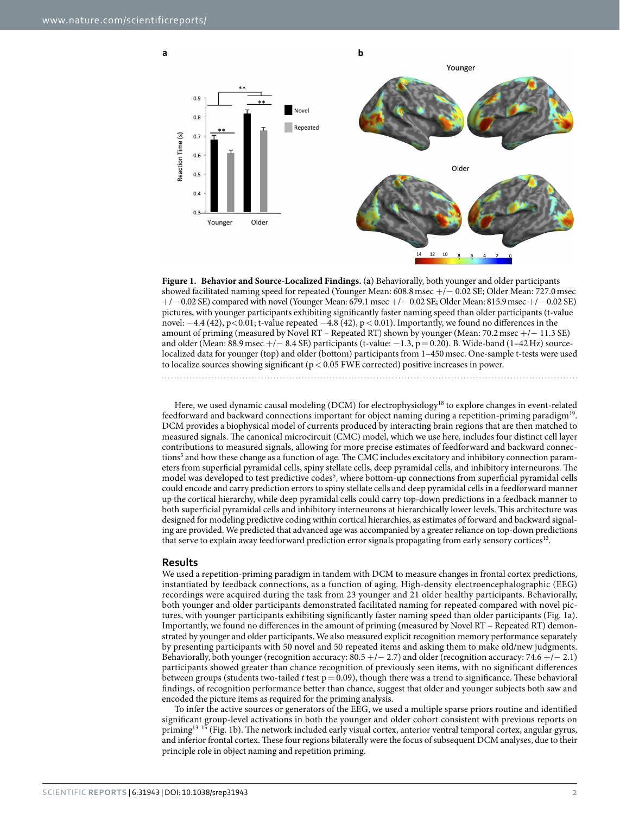a



<span id="page-1-0"></span>

Here, we used dynamic causal modeling (DCM) for electrophysiology<sup>18</sup> to explore changes in event-related feedforward and backward connections important for object naming during a repetition-priming paradigm[19.](#page-7-16) DCM provides a biophysical model of currents produced by interacting brain regions that are then matched to measured signals. The canonical microcircuit (CMC) model, which we use here, includes four distinct cell layer contributions to measured signals, allowing for more precise estimates of feedforward and backward connections<sup>5</sup> and how these change as a function of age. The CMC includes excitatory and inhibitory connection parameters from superficial pyramidal cells, spiny stellate cells, deep pyramidal cells, and inhibitory interneurons. The model was developed to test predictive codes<sup>[5](#page-7-2)</sup>, where bottom-up connections from superficial pyramidal cells could encode and carry prediction errors to spiny stellate cells and deep pyramidal cells in a feedforward manner up the cortical hierarchy, while deep pyramidal cells could carry top-down predictions in a feedback manner to both superficial pyramidal cells and inhibitory interneurons at hierarchically lower levels. This architecture was designed for modeling predictive coding within cortical hierarchies, as estimates of forward and backward signaling are provided. We predicted that advanced age was accompanied by a greater reliance on top-down predictions that serve to explain away feedforward prediction error signals propagating from early sensory cortices<sup>12</sup>.

#### **Results**

We used a repetition-priming paradigm in tandem with DCM to measure changes in frontal cortex predictions, instantiated by feedback connections, as a function of aging. High-density electroencephalographic (EEG) recordings were acquired during the task from 23 younger and 21 older healthy participants. Behaviorally, both younger and older participants demonstrated facilitated naming for repeated compared with novel pictures, with younger participants exhibiting significantly faster naming speed than older participants [\(Fig. 1a](#page-1-0)). Importantly, we found no differences in the amount of priming (measured by Novel RT – Repeated RT) demonstrated by younger and older participants. We also measured explicit recognition memory performance separately by presenting participants with 50 novel and 50 repeated items and asking them to make old/new judgments. Behaviorally, both younger (recognition accuracy: 80.5 +/− 2.7) and older (recognition accuracy: 74.6 +/− 2.1) participants showed greater than chance recognition of previously seen items, with no significant differences between groups (students two-tailed  $t$  test  $p = 0.09$ ), though there was a trend to significance. These behavioral findings, of recognition performance better than chance, suggest that older and younger subjects both saw and encoded the picture items as required for the priming analysis.

To infer the active sources or generators of the EEG, we used a multiple sparse priors routine and identified significant group-level activations in both the younger and older cohort consistent with previous reports on priming[13–15](#page-7-10) [\(Fig. 1b](#page-1-0)). The network included early visual cortex, anterior ventral temporal cortex, angular gyrus, and inferior frontal cortex. These four regions bilaterally were the focus of subsequent DCM analyses, due to their principle role in object naming and repetition priming.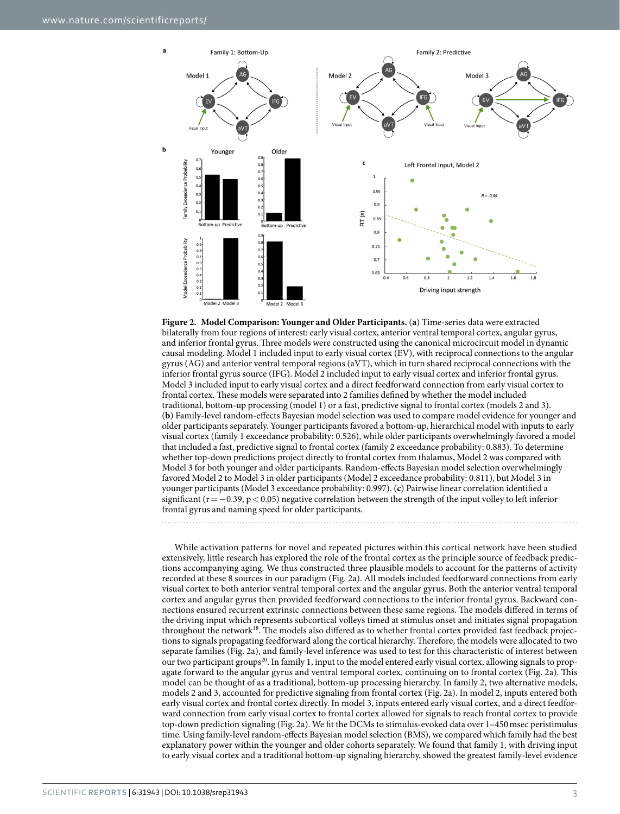Ĭ.

ł



<span id="page-2-0"></span>**Figure 2. Model Comparison: Younger and Older Participants.** (**a**) Time-series data were extracted bilaterally from four regions of interest: early visual cortex, anterior ventral temporal cortex, angular gyrus, and inferior frontal gyrus. Three models were constructed using the canonical microcircuit model in dynamic causal modeling. Model 1 included input to early visual cortex (EV), with reciprocal connections to the angular gyrus (AG) and anterior ventral temporal regions (aVT), which in turn shared reciprocal connections with the inferior frontal gyrus source (IFG). Model 2 included input to early visual cortex and inferior frontal gyrus. Model 3 included input to early visual cortex and a direct feedforward connection from early visual cortex to frontal cortex. These models were separated into 2 families defined by whether the model included traditional, bottom-up processing (model 1) or a fast, predictive signal to frontal cortex (models 2 and 3). (**b**) Family-level random-effects Bayesian model selection was used to compare model evidence for younger and older participants separately. Younger participants favored a bottom-up, hierarchical model with inputs to early visual cortex (family 1 exceedance probability: 0.526), while older participants overwhelmingly favored a model that included a fast, predictive signal to frontal cortex (family 2 exceedance probability: 0.883). To determine whether top-down predictions project directly to frontal cortex from thalamus, Model 2 was compared with Model 3 for both younger and older participants. Random-effects Bayesian model selection overwhelmingly favored Model 2 to Model 3 in older participants (Model 2 exceedance probability: 0.811), but Model 3 in younger participants (Model 3 exceedance probability: 0.997). (**c**) Pairwise linear correlation identified a significant ( $r=-0.39$ ,  $p<0.05$ ) negative correlation between the strength of the input volley to left inferior frontal gyrus and naming speed for older participants.

While activation patterns for novel and repeated pictures within this cortical network have been studied extensively, little research has explored the role of the frontal cortex as the principle source of feedback predictions accompanying aging. We thus constructed three plausible models to account for the patterns of activity recorded at these 8 sources in our paradigm ([Fig. 2a\)](#page-2-0). All models included feedforward connections from early visual cortex to both anterior ventral temporal cortex and the angular gyrus. Both the anterior ventral temporal cortex and angular gyrus then provided feedforward connections to the inferior frontal gyrus. Backward connections ensured recurrent extrinsic connections between these same regions. The models differed in terms of the driving input which represents subcortical volleys timed at stimulus onset and initiates signal propagation throughout the network<sup>18</sup>. The models also differed as to whether frontal cortex provided fast feedback projections to signals propagating feedforward along the cortical hierarchy. Therefore, the models were allocated to two separate families [\(Fig. 2a](#page-2-0)), and family-level inference was used to test for this characteristic of interest between our two participant groups<sup>20</sup>. In family 1, input to the model entered early visual cortex, allowing signals to propagate forward to the angular gyrus and ventral temporal cortex, continuing on to frontal cortex ([Fig. 2a\)](#page-2-0). This model can be thought of as a traditional, bottom-up processing hierarchy. In family 2, two alternative models, models 2 and 3, accounted for predictive signaling from frontal cortex ([Fig. 2a\)](#page-2-0). In model 2, inputs entered both early visual cortex and frontal cortex directly. In model 3, inputs entered early visual cortex, and a direct feedforward connection from early visual cortex to frontal cortex allowed for signals to reach frontal cortex to provide top-down prediction signaling [\(Fig. 2a\)](#page-2-0). We fit the DCMs to stimulus-evoked data over 1–450msec peristimulus time. Using family-level random-effects Bayesian model selection (BMS), we compared which family had the best explanatory power within the younger and older cohorts separately. We found that family 1, with driving input to early visual cortex and a traditional bottom-up signaling hierarchy, showed the greatest family-level evidence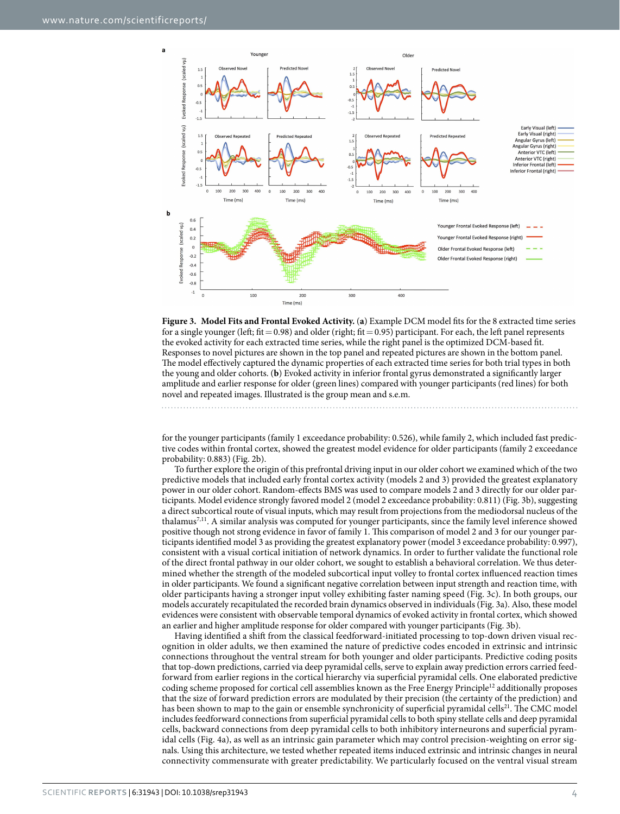

<span id="page-3-0"></span>**Figure 3. Model Fits and Frontal Evoked Activity.** (**a**) Example DCM model fits for the 8 extracted time series for a single younger (left; fit =  $0.98$ ) and older (right; fit =  $0.95$ ) participant. For each, the left panel represents the evoked activity for each extracted time series, while the right panel is the optimized DCM-based fit. Responses to novel pictures are shown in the top panel and repeated pictures are shown in the bottom panel. The model effectively captured the dynamic properties of each extracted time series for both trial types in both the young and older cohorts. (**b**) Evoked activity in inferior frontal gyrus demonstrated a significantly larger amplitude and earlier response for older (green lines) compared with younger participants (red lines) for both novel and repeated images. Illustrated is the group mean and s.e.m.

for the younger participants (family 1 exceedance probability: 0.526), while family 2, which included fast predictive codes within frontal cortex, showed the greatest model evidence for older participants (family 2 exceedance probability: 0.883) [\(Fig. 2b\)](#page-2-0).

To further explore the origin of this prefrontal driving input in our older cohort we examined which of the two predictive models that included early frontal cortex activity (models 2 and 3) provided the greatest explanatory power in our older cohort. Random-effects BMS was used to compare models 2 and 3 directly for our older participants. Model evidence strongly favored model 2 (model 2 exceedance probability: 0.811) ([Fig. 3b\)](#page-3-0), suggesting a direct subcortical route of visual inputs, which may result from projections from the mediodorsal nucleus of the thalamus[7,](#page-7-4)[11.](#page-7-8) A similar analysis was computed for younger participants, since the family level inference showed positive though not strong evidence in favor of family 1. This comparison of model 2 and 3 for our younger participants identified model 3 as providing the greatest explanatory power (model 3 exceedance probability: 0.997), consistent with a visual cortical initiation of network dynamics. In order to further validate the functional role of the direct frontal pathway in our older cohort, we sought to establish a behavioral correlation. We thus determined whether the strength of the modeled subcortical input volley to frontal cortex influenced reaction times in older participants. We found a significant negative correlation between input strength and reaction time, with older participants having a stronger input volley exhibiting faster naming speed ([Fig. 3c\)](#page-3-0). In both groups, our models accurately recapitulated the recorded brain dynamics observed in individuals [\(Fig. 3a\)](#page-3-0). Also, these model evidences were consistent with observable temporal dynamics of evoked activity in frontal cortex, which showed an earlier and higher amplitude response for older compared with younger participants ([Fig. 3b](#page-3-0)).

Having identified a shift from the classical feedforward-initiated processing to top-down driven visual recognition in older adults, we then examined the nature of predictive codes encoded in extrinsic and intrinsic connections throughout the ventral stream for both younger and older participants. Predictive coding posits that top-down predictions, carried via deep pyramidal cells, serve to explain away prediction errors carried feedforward from earlier regions in the cortical hierarchy via superficial pyramidal cells. One elaborated predictive coding scheme proposed for cortical cell assemblies known as the Free Energy Principle<sup>[12](#page-7-9)</sup> additionally proposes that the size of forward prediction errors are modulated by their precision (the certainty of the prediction) and has been shown to map to the gain or ensemble synchronicity of superficial pyramidal cells<sup>21</sup>. The CMC model includes feedforward connections from superficial pyramidal cells to both spiny stellate cells and deep pyramidal cells, backward connections from deep pyramidal cells to both inhibitory interneurons and superficial pyramidal cells ([Fig. 4a](#page-4-0)), as well as an intrinsic gain parameter which may control precision-weighting on error signals. Using this architecture, we tested whether repeated items induced extrinsic and intrinsic changes in neural connectivity commensurate with greater predictability. We particularly focused on the ventral visual stream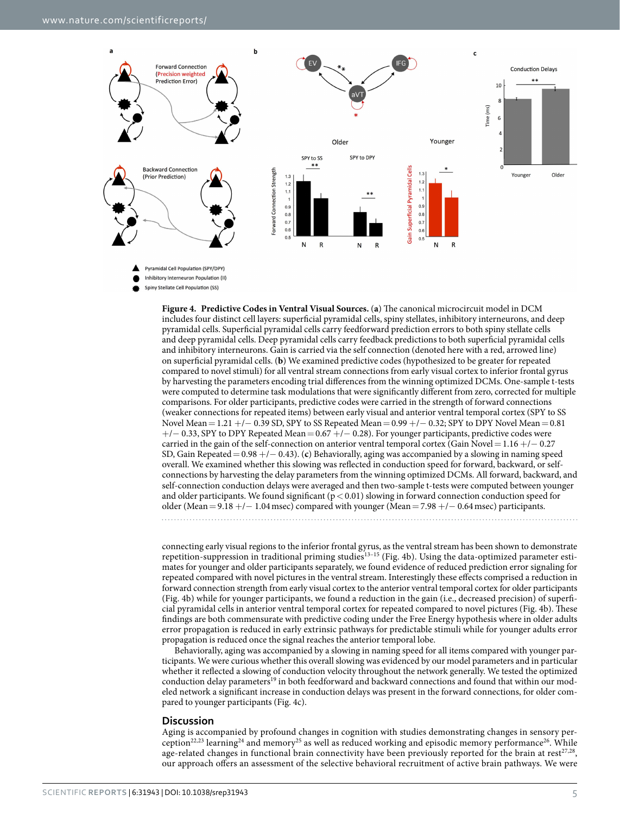

Spiny Stellate Cell Population (SS)

<span id="page-4-0"></span>**Figure 4. Predictive Codes in Ventral Visual Sources.** (**a**) The canonical microcircuit model in DCM includes four distinct cell layers: superficial pyramidal cells, spiny stellates, inhibitory interneurons, and deep pyramidal cells. Superficial pyramidal cells carry feedforward prediction errors to both spiny stellate cells and deep pyramidal cells. Deep pyramidal cells carry feedback predictions to both superficial pyramidal cells and inhibitory interneurons. Gain is carried via the self connection (denoted here with a red, arrowed line) on superficial pyramidal cells. (**b**) We examined predictive codes (hypothesized to be greater for repeated compared to novel stimuli) for all ventral stream connections from early visual cortex to inferior frontal gyrus by harvesting the parameters encoding trial differences from the winning optimized DCMs. One-sample t-tests were computed to determine task modulations that were significantly different from zero, corrected for multiple comparisons. For older participants, predictive codes were carried in the strength of forward connections (weaker connections for repeated items) between early visual and anterior ventral temporal cortex (SPY to SS Novel Mean=1.21 +/− 0.39 SD, SPY to SS Repeated Mean=0.99 +/− 0.32; SPY to DPY Novel Mean=0.81 +/− 0.33, SPY to DPY Repeated Mean=0.67 +/− 0.28). For younger participants, predictive codes were carried in the gain of the self-connection on anterior ventral temporal cortex (Gain Novel=1.16 +/− 0.27 SD, Gain Repeated=0.98 +/− 0.43). (**c**) Behaviorally, aging was accompanied by a slowing in naming speed overall. We examined whether this slowing was reflected in conduction speed for forward, backward, or selfconnections by harvesting the delay parameters from the winning optimized DCMs. All forward, backward, and self-connection conduction delays were averaged and then two-sample t-tests were computed between younger and older participants. We found significant  $(p < 0.01)$  slowing in forward connection conduction speed for older (Mean=9.18 +/− 1.04msec) compared with younger (Mean=7.98 +/− 0.64msec) participants.

connecting early visual regions to the inferior frontal gyrus, as the ventral stream has been shown to demonstrate repetition-suppression in traditional priming studies[13–15](#page-7-10) ([Fig. 4b](#page-4-0)). Using the data-optimized parameter estimates for younger and older participants separately, we found evidence of reduced prediction error signaling for repeated compared with novel pictures in the ventral stream. Interestingly these effects comprised a reduction in forward connection strength from early visual cortex to the anterior ventral temporal cortex for older participants ([Fig. 4b\)](#page-4-0) while for younger participants, we found a reduction in the gain (i.e., decreased precision) of superficial pyramidal cells in anterior ventral temporal cortex for repeated compared to novel pictures [\(Fig. 4b\)](#page-4-0). These findings are both commensurate with predictive coding under the Free Energy hypothesis where in older adults error propagation is reduced in early extrinsic pathways for predictable stimuli while for younger adults error propagation is reduced once the signal reaches the anterior temporal lobe.

Behaviorally, aging was accompanied by a slowing in naming speed for all items compared with younger participants. We were curious whether this overall slowing was evidenced by our model parameters and in particular whether it reflected a slowing of conduction velocity throughout the network generally. We tested the optimized conduction delay parameters<sup>[19](#page-7-16)</sup> in both feedforward and backward connections and found that within our modeled network a significant increase in conduction delays was present in the forward connections, for older compared to younger participants [\(Fig. 4c\)](#page-4-0).

#### **Discussion**

Aging is accompanied by profound changes in cognition with studies demonstrating changes in sensory perceptio[n22](#page-7-19)[,23](#page-7-20) learning[24](#page-7-21) and memory[25](#page-8-0) as well as reduced working and episodic memory performanc[e26.](#page-8-1) While age-related changes in functional brain connectivity have been previously reported for the brain at rest<sup>[27](#page-8-2),28</sup>, our approach offers an assessment of the selective behavioral recruitment of active brain pathways. We were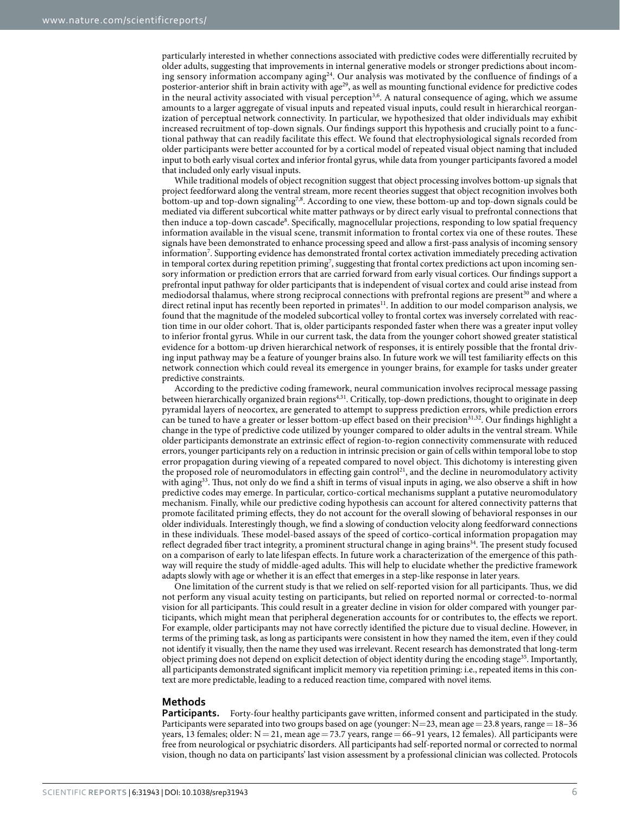particularly interested in whether connections associated with predictive codes were differentially recruited by older adults, suggesting that improvements in internal generative models or stronger predictions about incoming sensory information accompany aging<sup>24</sup>. Our analysis was motivated by the confluence of findings of a posterior-anterior shift in brain activity with age<sup>29</sup>, as well as mounting functional evidence for predictive codes in the neural activity associated with visual perception<sup>[3](#page-7-22),6</sup>. A natural consequence of aging, which we assume amounts to a larger aggregate of visual inputs and repeated visual inputs, could result in hierarchical reorganization of perceptual network connectivity. In particular, we hypothesized that older individuals may exhibit increased recruitment of top-down signals. Our findings support this hypothesis and crucially point to a functional pathway that can readily facilitate this effect. We found that electrophysiological signals recorded from older participants were better accounted for by a cortical model of repeated visual object naming that included input to both early visual cortex and inferior frontal gyrus, while data from younger participants favored a model that included only early visual inputs.

While traditional models of object recognition suggest that object processing involves bottom-up signals that project feedforward along the ventral stream, more recent theories suggest that object recognition involves both bottom-up and top-down signaling<sup>[7,](#page-7-4)[8](#page-7-5)</sup>. According to one view, these bottom-up and top-down signals could be mediated via different subcortical white matter pathways or by direct early visual to prefrontal connections that then induce a top-down cascade<sup>8</sup>. Specifically, magnocellular projections, responding to low spatial frequency information available in the visual scene, transmit information to frontal cortex via one of these routes. These signals have been demonstrated to enhance processing speed and allow a first-pass analysis of incoming sensory information<sup>7</sup>. Supporting evidence has demonstrated frontal cortex activation immediately preceding activation in temporal cortex during repetition priming<sup>[7](#page-7-4)</sup>, suggesting that frontal cortex predictions act upon incoming sensory information or prediction errors that are carried forward from early visual cortices. Our findings support a prefrontal input pathway for older participants that is independent of visual cortex and could arise instead from mediodorsal thalamus, where strong reciprocal connections with prefrontal regions are present<sup>[30](#page-8-5)</sup> and where a direct retinal input has recently been reported in primates<sup>11</sup>. In addition to our model comparison analysis, we found that the magnitude of the modeled subcortical volley to frontal cortex was inversely correlated with reaction time in our older cohort. That is, older participants responded faster when there was a greater input volley to inferior frontal gyrus. While in our current task, the data from the younger cohort showed greater statistical evidence for a bottom-up driven hierarchical network of responses, it is entirely possible that the frontal driving input pathway may be a feature of younger brains also. In future work we will test familiarity effects on this network connection which could reveal its emergence in younger brains, for example for tasks under greater predictive constraints.

According to the predictive coding framework, neural communication involves reciprocal message passing between hierarchically organized brain regions[4,](#page-7-1)[31.](#page-8-6) Critically, top-down predictions, thought to originate in deep pyramidal layers of neocortex, are generated to attempt to suppress prediction errors, while prediction errors can be tuned to have a greater or lesser bottom-up effect based on their precision<sup>[31](#page-8-6),[32](#page-8-7)</sup>. Our findings highlight a change in the type of predictive code utilized by younger compared to older adults in the ventral stream. While older participants demonstrate an extrinsic effect of region-to-region connectivity commensurate with reduced errors, younger participants rely on a reduction in intrinsic precision or gain of cells within temporal lobe to stop error propagation during viewing of a repeated compared to novel object. This dichotomy is interesting given the proposed role of neuromodulators in effecting gain control<sup>21</sup>, and the decline in neuromodulatory activity with aging<sup>33</sup>. Thus, not only do we find a shift in terms of visual inputs in aging, we also observe a shift in how predictive codes may emerge. In particular, cortico-cortical mechanisms supplant a putative neuromodulatory mechanism. Finally, while our predictive coding hypothesis can account for altered connectivity patterns that promote facilitated priming effects, they do not account for the overall slowing of behavioral responses in our older individuals. Interestingly though, we find a slowing of conduction velocity along feedforward connections in these individuals. These model-based assays of the speed of cortico-cortical information propagation may reflect degraded fiber tract integrity, a prominent structural change in aging brains[34](#page-8-9). The present study focused on a comparison of early to late lifespan effects. In future work a characterization of the emergence of this pathway will require the study of middle-aged adults. This will help to elucidate whether the predictive framework adapts slowly with age or whether it is an effect that emerges in a step-like response in later years.

One limitation of the current study is that we relied on self-reported vision for all participants. Thus, we did not perform any visual acuity testing on participants, but relied on reported normal or corrected-to-normal vision for all participants. This could result in a greater decline in vision for older compared with younger participants, which might mean that peripheral degeneration accounts for or contributes to, the effects we report. For example, older participants may not have correctly identified the picture due to visual decline. However, in terms of the priming task, as long as participants were consistent in how they named the item, even if they could not identify it visually, then the name they used was irrelevant. Recent research has demonstrated that long-term object priming does not depend on explicit detection of object identity during the encoding stage<sup>35</sup>. Importantly, all participants demonstrated significant implicit memory via repetition priming: i.e., repeated items in this context are more predictable, leading to a reduced reaction time, compared with novel items.

#### **Methods**

**Participants.** Forty-four healthy participants gave written, informed consent and participated in the study. Participants were separated into two groups based on age (younger:  $N=23$ , mean age = 23.8 years, range = 18–36 years, 13 females; older:  $N=21$ , mean age = 73.7 years, range = 66-91 years, 12 females). All participants were free from neurological or psychiatric disorders. All participants had self-reported normal or corrected to normal vision, though no data on participants' last vision assessment by a professional clinician was collected. Protocols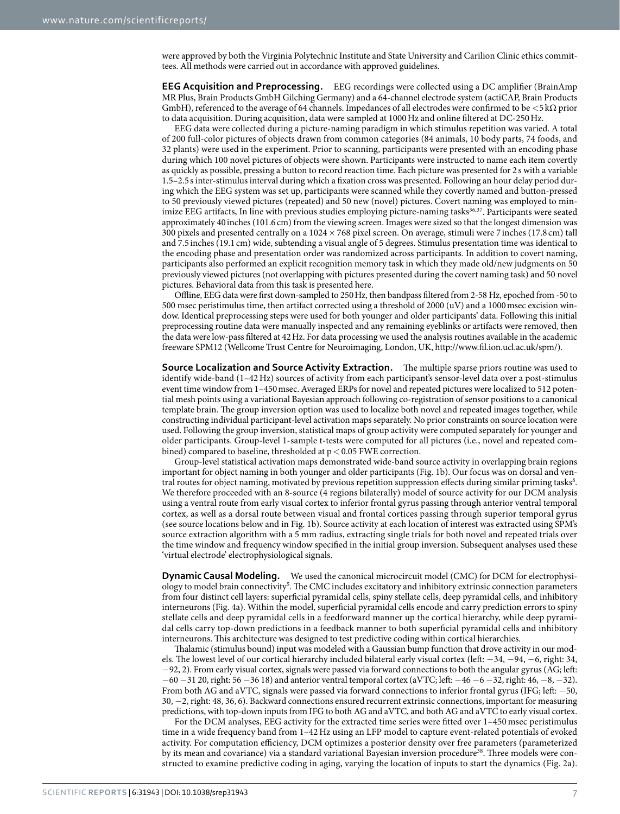were approved by both the Virginia Polytechnic Institute and State University and Carilion Clinic ethics committees. All methods were carried out in accordance with approved guidelines.

**EEG Acquisition and Preprocessing.** EEG recordings were collected using a DC amplifier (BrainAmp MR Plus, Brain Products GmbH Gilching Germany) and a 64-channel electrode system (actiCAP, Brain Products GmbH), referenced to the average of 64 channels. Impedances of all electrodes were confirmed to be  $\lt$ 5 kΩ prior to data acquisition. During acquisition, data were sampled at 1000Hz and online filtered at DC-250Hz.

EEG data were collected during a picture-naming paradigm in which stimulus repetition was varied. A total of 200 full-color pictures of objects drawn from common categories (84 animals, 10 body parts, 74 foods, and 32 plants) were used in the experiment. Prior to scanning, participants were presented with an encoding phase during which 100 novel pictures of objects were shown. Participants were instructed to name each item covertly as quickly as possible, pressing a button to record reaction time. Each picture was presented for 2 s with a variable 1.5–2.5s inter-stimulus interval during which a fixation cross was presented. Following an hour delay period during which the EEG system was set up, participants were scanned while they covertly named and button-pressed to 50 previously viewed pictures (repeated) and 50 new (novel) pictures. Covert naming was employed to min-imize EEG artifacts, In line with previous studies employing picture-naming tasks<sup>[36,](#page-8-11)37</sup>. Participants were seated approximately 40 inches (101.6 cm) from the viewing screen. Images were sized so that the longest dimension was 300 pixels and presented centrally on a 1024×768 pixel screen. On average, stimuli were 7 inches (17.8 cm) tall and 7.5 inches (19.1 cm) wide, subtending a visual angle of 5 degrees. Stimulus presentation time was identical to the encoding phase and presentation order was randomized across participants. In addition to covert naming, participants also performed an explicit recognition memory task in which they made old/new judgments on 50 previously viewed pictures (not overlapping with pictures presented during the covert naming task) and 50 novel pictures. Behavioral data from this task is presented here.

Offline, EEG data were first down-sampled to 250Hz, then bandpass filtered from 2-58 Hz, epoched from -50 to 500 msec peristimulus time, then artifact corrected using a threshold of 2000 (uV) and a 1000msec excision window. Identical preprocessing steps were used for both younger and older participants' data. Following this initial preprocessing routine data were manually inspected and any remaining eyeblinks or artifacts were removed, then the data were low-pass filtered at 42Hz. For data processing we used the analysis routines available in the academic freeware SPM12 (Wellcome Trust Centre for Neuroimaging, London, UK,<http://www.fil.ion.ucl.ac.uk/spm/>).

**Source Localization and Source Activity Extraction.** The multiple sparse priors routine was used to identify wide-band (1–42Hz) sources of activity from each participant's sensor-level data over a post-stimulus event time window from 1–450msec. Averaged ERPs for novel and repeated pictures were localized to 512 potential mesh points using a variational Bayesian approach following co-registration of sensor positions to a canonical template brain. The group inversion option was used to localize both novel and repeated images together, while constructing individual participant-level activation maps separately. No prior constraints on source location were used. Following the group inversion, statistical maps of group activity were computed separately for younger and older participants. Group-level 1-sample t-tests were computed for all pictures (i.e., novel and repeated combined) compared to baseline, thresholded at  $p < 0.05$  FWE correction.

Group-level statistical activation maps demonstrated wide-band source activity in overlapping brain regions important for object naming in both younger and older participants [\(Fig. 1b](#page-1-0)). Our focus was on dorsal and ven-tral routes for object naming, motivated by previous repetition suppression effects during similar priming tasks<sup>[8](#page-7-5)</sup>. We therefore proceeded with an 8-source (4 regions bilaterally) model of source activity for our DCM analysis using a ventral route from early visual cortex to inferior frontal gyrus passing through anterior ventral temporal cortex, as well as a dorsal route between visual and frontal cortices passing through superior temporal gyrus (see source locations below and in [Fig. 1b\)](#page-1-0). Source activity at each location of interest was extracted using SPM's source extraction algorithm with a 5 mm radius, extracting single trials for both novel and repeated trials over the time window and frequency window specified in the initial group inversion. Subsequent analyses used these 'virtual electrode' electrophysiological signals.

**Dynamic Causal Modeling.** We used the canonical microcircuit model (CMC) for DCM for electrophysiology to model brain connectivity<sup>5</sup>. The CMC includes excitatory and inhibitory extrinsic connection parameters from four distinct cell layers: superficial pyramidal cells, spiny stellate cells, deep pyramidal cells, and inhibitory interneurons [\(Fig. 4a\)](#page-4-0). Within the model, superficial pyramidal cells encode and carry prediction errors to spiny stellate cells and deep pyramidal cells in a feedforward manner up the cortical hierarchy, while deep pyramidal cells carry top-down predictions in a feedback manner to both superficial pyramidal cells and inhibitory interneurons. This architecture was designed to test predictive coding within cortical hierarchies.

Thalamic (stimulus bound) input was modeled with a Gaussian bump function that drove activity in our models. The lowest level of our cortical hierarchy included bilateral early visual cortex (left: −34, −94, −6, right: 34, −92, 2). From early visual cortex, signals were passed via forward connections to both the angular gyrus (AG; left: −60 −31 20, right: 56 −36 18) and anterior ventral temporal cortex (aVTC; left: −46 −6 −32, right: 46, −8, −32). From both AG and aVTC, signals were passed via forward connections to inferior frontal gyrus (IFG; left: −50, 30, −2, right: 48, 36, 6). Backward connections ensured recurrent extrinsic connections, important for measuring predictions, with top-down inputs from IFG to both AG and aVTC, and both AG and aVTC to early visual cortex.

For the DCM analyses, EEG activity for the extracted time series were fitted over 1–450 msec peristimulus time in a wide frequency band from 1–42Hz using an LFP model to capture event-related potentials of evoked activity. For computation efficiency, DCM optimizes a posterior density over free parameters (parameterized by its mean and covariance) via a standard variational Bayesian inversion procedure<sup>38</sup>. Three models were constructed to examine predictive coding in aging, varying the location of inputs to start the dynamics ([Fig. 2a](#page-2-0)).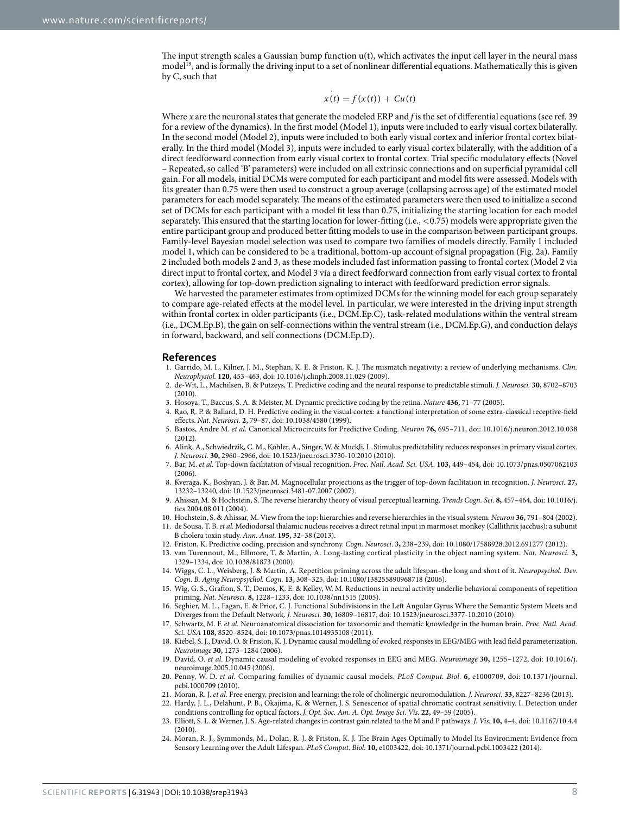The input strength scales a Gaussian bump function u(t), which activates the input cell layer in the neural mass model<sup>19</sup>, and is formally the driving input to a set of nonlinear differential equations. Mathematically this is given by C, such that

$$
x(t) = f(x(t)) + Cu(t)
$$

Where *x* are the neuronal states that generate the modeled ERP and *f* is the set of differential equations (see ref. [39](#page-8-14)  for a review of the dynamics). In the first model (Model 1), inputs were included to early visual cortex bilaterally. In the second model (Model 2), inputs were included to both early visual cortex and inferior frontal cortex bilaterally. In the third model (Model 3), inputs were included to early visual cortex bilaterally, with the addition of a direct feedforward connection from early visual cortex to frontal cortex. Trial specific modulatory effects (Novel – Repeated, so called 'B' parameters) were included on all extrinsic connections and on superficial pyramidal cell gain. For all models, initial DCMs were computed for each participant and model fits were assessed. Models with fits greater than 0.75 were then used to construct a group average (collapsing across age) of the estimated model parameters for each model separately. The means of the estimated parameters were then used to initialize a second set of DCMs for each participant with a model fit less than 0.75, initializing the starting location for each model separately. This ensured that the starting location for lower-fitting (i.e., <0.75) models were appropriate given the entire participant group and produced better fitting models to use in the comparison between participant groups. Family-level Bayesian model selection was used to compare two families of models directly. Family 1 included model 1, which can be considered to be a traditional, bottom-up account of signal propagation [\(Fig. 2a\)](#page-2-0). Family 2 included both models 2 and 3, as these models included fast information passing to frontal cortex (Model 2 via direct input to frontal cortex, and Model 3 via a direct feedforward connection from early visual cortex to frontal cortex), allowing for top-down prediction signaling to interact with feedforward prediction error signals.

We harvested the parameter estimates from optimized DCMs for the winning model for each group separately to compare age-related effects at the model level. In particular, we were interested in the driving input strength within frontal cortex in older participants (i.e., DCM.Ep.C), task-related modulations within the ventral stream (i.e., DCM.Ep.B), the gain on self-connections within the ventral stream (i.e., DCM.Ep.G), and conduction delays in forward, backward, and self connections (DCM.Ep.D).

#### **References**

- <span id="page-7-0"></span>1. Garrido, M. I., Kilner, J. M., Stephan, K. E. & Friston, K. J. The mismatch negativity: a review of underlying mechanisms. *Clin. Neurophysiol.* **120,** 453–463, doi: 10.1016/j.clinph.2008.11.029 (2009).
- 2. de-Wit, L., Machilsen, B. & Putzeys, T. Predictive coding and the neural response to predictable stimuli. *J. Neurosci.* **30,** 8702–8703 (2010).
- <span id="page-7-22"></span>3. Hosoya, T., Baccus, S. A. & Meister, M. Dynamic predictive coding by the retina. *Nature* **436,** 71–77 (2005).
- <span id="page-7-1"></span>4. Rao, R. P. & Ballard, D. H. Predictive coding in the visual cortex: a functional interpretation of some extra-classical receptive-field effects. *Nat. Neurosci.* **2,** 79–87, doi: 10.1038/4580 (1999).
- <span id="page-7-2"></span>5. Bastos, Andre M. *et al.* Canonical Microcircuits for Predictive Coding. *Neuron* **76,** 695–711, doi: 10.1016/j.neuron.2012.10.038 (2012).
- <span id="page-7-3"></span>6. Alink, A., Schwiedrzik, C. M., Kohler, A., Singer, W. & Muckli, L. Stimulus predictability reduces responses in primary visual cortex. *J. Neurosci.* **30,** 2960–2966, doi: 10.1523/jneurosci.3730-10.2010 (2010).
- <span id="page-7-4"></span>7. Bar, M. *et al.* Top-down facilitation of visual recognition. *Proc. Natl. Acad. Sci. USA.* **103,** 449–454, doi: 10.1073/pnas.0507062103  $(2006)$
- <span id="page-7-5"></span>8. Kveraga, K., Boshyan, J. & Bar, M. Magnocellular projections as the trigger of top-down facilitation in recognition. *J. Neurosci.* **27,** 13232–13240, doi: 10.1523/jneurosci.3481-07.2007 (2007).
- <span id="page-7-6"></span>9. Ahissar, M. & Hochstein, S. The reverse hierarchy theory of visual perceptual learning. *Trends Cogn. Sci.* **8,** 457–464, doi: 10.1016/j. tics.2004.08.011 (2004).
- <span id="page-7-7"></span>10. Hochstein, S. & Ahissar, M. View from the top: hierarchies and reverse hierarchies in the visual system. *Neuron* **36,** 791–804 (2002).
- <span id="page-7-8"></span>11. de Sousa, T. B. *et al.* Mediodorsal thalamic nucleus receives a direct retinal input in marmoset monkey (Callithrix jacchus): a subunit B cholera toxin study. *Ann. Anat*. **195,** 32–38 (2013).
- <span id="page-7-9"></span>12. Friston, K. Predictive coding, precision and synchrony. *Cogn. Neurosci*. **3,** 238–239, doi: 10.1080/17588928.2012.691277 (2012).
- <span id="page-7-10"></span>13. van Turennout, M., Ellmore, T. & Martin, A. Long-lasting cortical plasticity in the object naming system. *Nat. Neurosci.* **3,** 1329–1334, doi: 10.1038/81873 (2000).
- <span id="page-7-11"></span>14. Wiggs, C. L., Weisberg, J. & Martin, A. Repetition priming across the adult lifespan–the long and short of it. *Neuropsychol. Dev. Cogn. B. Aging Neuropsychol. Cogn.* **13,** 308–325, doi: 10.1080/138255890968718 (2006).
- <span id="page-7-12"></span>15. Wig, G. S., Grafton, S. T., Demos, K. E. & Kelley, W. M. Reductions in neural activity underlie behavioral components of repetition priming. *Nat. Neurosci.* **8,** 1228–1233, doi: 10.1038/nn1515 (2005).
- <span id="page-7-13"></span>16. Seghier, M. L., Fagan, E. & Price, C. J. Functional Subdivisions in the Left Angular Gyrus Where the Semantic System Meets and Diverges from the Default Network. *J. Neurosci.* **30,** 16809–16817, doi: 10.1523/jneurosci.3377-10.2010 (2010).
- <span id="page-7-14"></span>17. Schwartz, M. F. *et al.* Neuroanatomical dissociation for taxonomic and thematic knowledge in the human brain. *Proc. Natl. Acad. Sci. USA* **108,** 8520–8524, doi: 10.1073/pnas.1014935108 (2011).
- <span id="page-7-15"></span>18. Kiebel, S. J., David, O. & Friston, K. J. Dynamic causal modelling of evoked responses in EEG/MEG with lead field parameterization. *Neuroimage* **30,** 1273–1284 (2006).
- <span id="page-7-16"></span>19. David, O. *et al.* Dynamic causal modeling of evoked responses in EEG and MEG. *Neuroimage* **30,** 1255–1272, doi: 10.1016/j. neuroimage.2005.10.045 (2006).
- <span id="page-7-17"></span>20. Penny, W. D. *et al.* Comparing families of dynamic causal models. *PLoS Comput. Biol.* **6,** e1000709, doi: 10.1371/journal. pcbi.1000709 (2010).
- <span id="page-7-19"></span><span id="page-7-18"></span>21. Moran, R. J. *et al.* Free energy, precision and learning: the role of cholinergic neuromodulation. *J. Neurosci.* **33,** 8227–8236 (2013). 22. Hardy, J. L., Delahunt, P. B., Okajima, K. & Werner, J. S. Senescence of spatial chromatic contrast sensitivity. I. Detection under
- <span id="page-7-20"></span>conditions controlling for optical factors. *J. Opt. Soc. Am. A. Opt. Image Sci. Vis.* **22,** 49–59 (2005). 23. Elliott, S. L. & Werner, J. S. Age-related changes in contrast gain related to the M and P pathways. *J. Vis.* **10,** 4–4, doi: 10.1167/10.4.4 (2010).
- <span id="page-7-21"></span>24. Moran, R. J., Symmonds, M., Dolan, R. J. & Friston, K. J. The Brain Ages Optimally to Model Its Environment: Evidence from Sensory Learning over the Adult Lifespan. *PLoS Comput. Biol.* **10,** e1003422, doi: 10.1371/journal.pcbi.1003422 (2014).